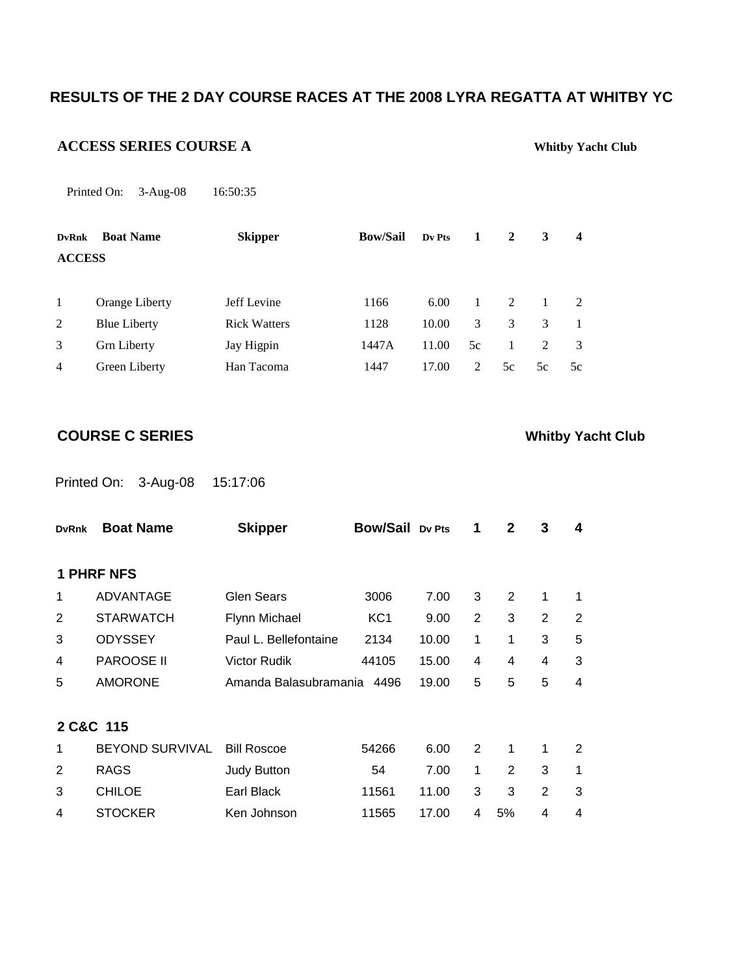# **RESULTS OF THE 2 DAY COURSE RACES AT THE 2008 LYRA REGATTA AT WHITBY YC**

### **ACCESS SERIES COURSE A Whitby Yacht Club**

Printed On: 3-Aug-08 16:50:35

| <b>DvRnk</b>   | <b>Boat Name</b>    | <b>Skipper</b>      | <b>Bow/Sail</b> | Dv Pts | 1              | 2             | 3              | $\overline{\mathbf{4}}$ |
|----------------|---------------------|---------------------|-----------------|--------|----------------|---------------|----------------|-------------------------|
| <b>ACCESS</b>  |                     |                     |                 |        |                |               |                |                         |
|                |                     |                     |                 |        |                |               |                |                         |
| 1              | Orange Liberty      | Jeff Levine         | 1166            | 6.00   | 1              | $\mathcal{L}$ | $\mathbf{1}$   | $\mathcal{L}$           |
| 2              | <b>Blue Liberty</b> | <b>Rick Watters</b> | 1128            | 10.00  | 3              | 3             | $\mathcal{F}$  |                         |
| 3              | <b>Grn Liberty</b>  | Jay Higpin          | 1447A           | 11.00  | 5c             | 1             | $\mathfrak{D}$ | 3                       |
| $\overline{4}$ | Green Liberty       | Han Tacoma          | 1447            | 17.00  | $\mathfrak{D}$ | 5c            | 5c             | 5c                      |

**COURSE C SERIES Whitby Yacht Club** 

Printed On: 3-Aug-08 15:17:06

| <b>DvRnk</b> | <b>Boat Name</b>       | <b>Skipper</b>        | <b>Bow/Sail Dv Pts</b> |       | 1              | 2  | 3              | 4              |
|--------------|------------------------|-----------------------|------------------------|-------|----------------|----|----------------|----------------|
|              |                        |                       |                        |       |                |    |                |                |
|              | <b>1 PHRF NFS</b>      |                       |                        |       |                |    |                |                |
| 1            | <b>ADVANTAGE</b>       | <b>Glen Sears</b>     | 3006                   | 7.00  | 3              | 2  | 1              | 1              |
| 2            | <b>STARWATCH</b>       | Flynn Michael         | KC <sub>1</sub>        | 9.00  | $\overline{2}$ | 3  | $\overline{2}$ | $\overline{2}$ |
| 3            | <b>ODYSSEY</b>         | Paul L. Bellefontaine | 2134                   | 10.00 | 1              | 1  | 3              | 5              |
| 4            | <b>PAROOSE II</b>      | <b>Victor Rudik</b>   | 44105                  | 15.00 | 4              | 4  | 4              | 3              |
| 5            | <b>AMORONE</b>         | Amanda Balasubramania | 4496                   | 19.00 | 5              | 5  | 5              | $\overline{4}$ |
|              |                        |                       |                        |       |                |    |                |                |
|              | 2 C&C 115              |                       |                        |       |                |    |                |                |
| 1            | <b>BEYOND SURVIVAL</b> | <b>Bill Roscoe</b>    | 54266                  | 6.00  | 2              | 1  | 1              | 2              |
| 2            | <b>RAGS</b>            | <b>Judy Button</b>    | 54                     | 7.00  | 1              | 2  | 3              | 1              |
| 3            | <b>CHILOE</b>          | Earl Black            | 11561                  | 11.00 | 3              | 3  | 2              | 3              |
| 4            | <b>STOCKER</b>         | Ken Johnson           | 11565                  | 17.00 | 4              | 5% | 4              | 4              |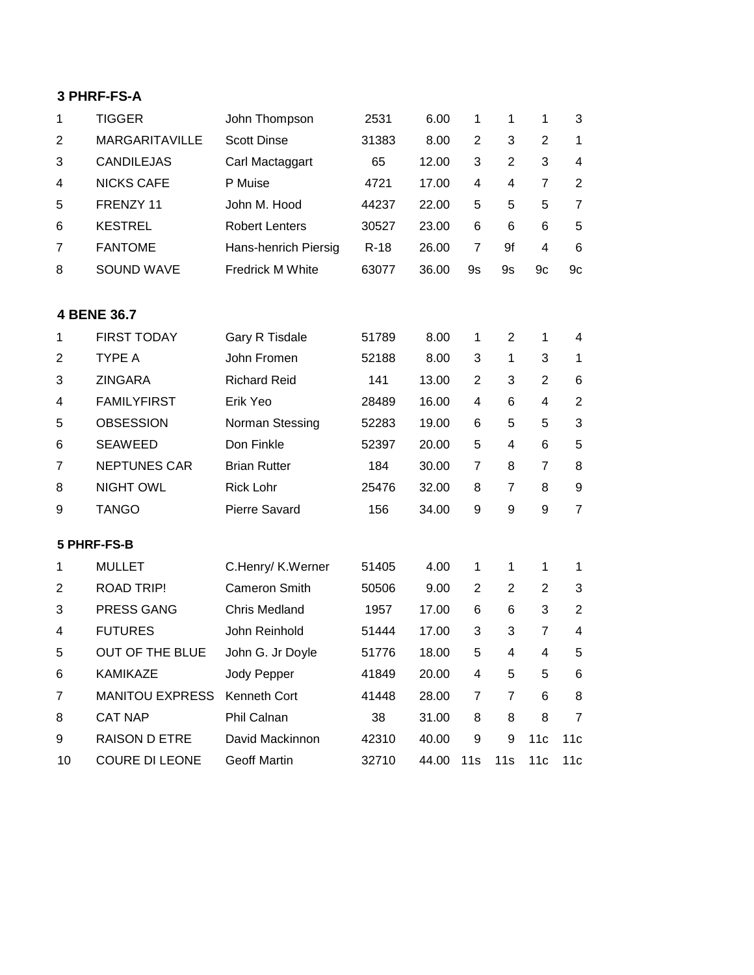### **3 PHRF-FS-A**

| 1              | <b>TIGGER</b>          | John Thompson         | 2531   | 6.00  | 1              | 1              | 1              | 3              |
|----------------|------------------------|-----------------------|--------|-------|----------------|----------------|----------------|----------------|
| 2              | <b>MARGARITAVILLE</b>  | <b>Scott Dinse</b>    | 31383  | 8.00  | $\overline{2}$ | 3              | $\overline{2}$ | $\mathbf{1}$   |
| 3              | <b>CANDILEJAS</b>      | Carl Mactaggart       | 65     | 12.00 | 3              | $\overline{2}$ | 3              | 4              |
| 4              | <b>NICKS CAFE</b>      | P Muise               | 4721   | 17.00 | 4              | 4              | $\overline{7}$ | $\overline{2}$ |
| 5              | FRENZY 11              | John M. Hood          | 44237  | 22.00 | 5              | 5              | 5              | $\overline{7}$ |
| 6              | <b>KESTREL</b>         | <b>Robert Lenters</b> | 30527  | 23.00 | 6              | 6              | 6              | 5              |
| $\overline{7}$ | <b>FANTOME</b>         | Hans-henrich Piersig  | $R-18$ | 26.00 | $\overline{7}$ | 9f             | 4              | 6              |
| 8              | <b>SOUND WAVE</b>      | Fredrick M White      | 63077  | 36.00 | 9s             | <b>9s</b>      | 9c             | 9c             |
|                | 4 BENE 36.7            |                       |        |       |                |                |                |                |
| 1              | <b>FIRST TODAY</b>     | Gary R Tisdale        | 51789  | 8.00  | 1              | $\overline{2}$ | 1              | 4              |
| 2              | <b>TYPE A</b>          | John Fromen           | 52188  | 8.00  | 3              | 1              | 3              | 1              |
| 3              | <b>ZINGARA</b>         | <b>Richard Reid</b>   | 141    | 13.00 | $\overline{2}$ | 3              | $\overline{2}$ | 6              |
| 4              | <b>FAMILYFIRST</b>     | Erik Yeo              | 28489  | 16.00 | 4              | 6              | 4              | $\overline{2}$ |
| 5              | <b>OBSESSION</b>       | Norman Stessing       | 52283  | 19.00 | 6              | 5              | 5              | 3              |
| 6              | <b>SEAWEED</b>         | Don Finkle            | 52397  | 20.00 | 5              | 4              | 6              | 5              |
| 7              | <b>NEPTUNES CAR</b>    | <b>Brian Rutter</b>   | 184    | 30.00 | $\overline{7}$ | 8              | 7              | 8              |
| 8              | <b>NIGHT OWL</b>       | <b>Rick Lohr</b>      | 25476  | 32.00 | 8              | 7              | 8              | 9              |
| 9              | <b>TANGO</b>           | <b>Pierre Savard</b>  | 156    | 34.00 | 9              | 9              | 9              | $\overline{7}$ |
|                | 5 PHRF-FS-B            |                       |        |       |                |                |                |                |
| 1              | <b>MULLET</b>          | C.Henry/ K.Werner     | 51405  | 4.00  | 1              | 1              | $\mathbf{1}$   | 1              |
| $\overline{c}$ | <b>ROAD TRIP!</b>      | <b>Cameron Smith</b>  | 50506  | 9.00  | 2              | $\overline{2}$ | $\overline{2}$ | 3              |
| 3              | PRESS GANG             | <b>Chris Medland</b>  | 1957   | 17.00 | 6              | 6              | 3              | $\overline{2}$ |
| 4              | <b>FUTURES</b>         | John Reinhold         | 51444  | 17.00 | 3              | 3              | $\overline{7}$ | 4              |
| 5              | OUT OF THE BLUE        | John G. Jr Doyle      | 51776  | 18.00 | 5              | 4              | 4              | 5              |
| 6              | KAMIKAZE               | Jody Pepper           | 41849  | 20.00 | 4              | 5              | 5              | 6              |
| 7              | <b>MANITOU EXPRESS</b> | Kenneth Cort          | 41448  | 28.00 | 7              | 7              | 6              | 8              |
| 8              | <b>CAT NAP</b>         | Phil Calnan           | 38     | 31.00 | 8              | 8              | 8              | 7              |
| 9              | <b>RAISON D ETRE</b>   | David Mackinnon       | 42310  | 40.00 | 9              | 9              | 11c            | 11c            |
| 10             | COURE DI LEONE         | Geoff Martin          | 32710  | 44.00 | 11s            | 11s            | 11c            | 11c            |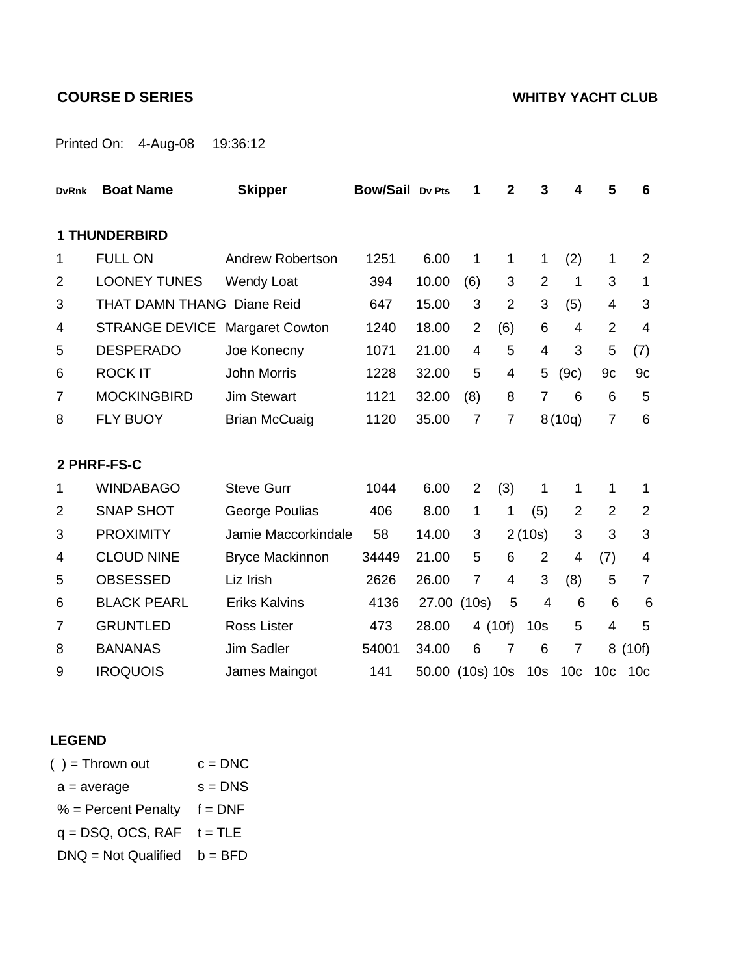# **COURSE D SERIES WHITBY YACHT CLUB**

Printed On: 4-Aug-08 19:36:12

| <b>DvRnk</b>   | <b>Boat Name</b>                  | <b>Skipper</b>          | <b>Bow/Sail Dv Pts</b> |       | 1              | $\mathbf{2}$   | 3               | 4               | 5               | 6               |
|----------------|-----------------------------------|-------------------------|------------------------|-------|----------------|----------------|-----------------|-----------------|-----------------|-----------------|
|                | <b>1 THUNDERBIRD</b>              |                         |                        |       |                |                |                 |                 |                 |                 |
| 1              | <b>FULL ON</b>                    | <b>Andrew Robertson</b> | 1251                   | 6.00  | 1              | 1              | 1               | (2)             | 1               | 2               |
| $\overline{2}$ | <b>LOONEY TUNES</b>               | <b>Wendy Loat</b>       | 394                    | 10.00 | (6)            | 3              | $\overline{2}$  | 1               | 3               | 1               |
| 3              | <b>THAT DAMN THANG Diane Reid</b> |                         | 647                    | 15.00 | 3              | $\overline{2}$ | 3               | (5)             | 4               | 3               |
| 4              | <b>STRANGE DEVICE</b>             | <b>Margaret Cowton</b>  | 1240                   | 18.00 | $\overline{2}$ | (6)            | 6               | 4               | $\overline{2}$  | $\overline{4}$  |
| 5              | <b>DESPERADO</b>                  | Joe Konecny             | 1071                   | 21.00 | 4              | 5              | 4               | 3               | 5               | (7)             |
| 6              | <b>ROCK IT</b>                    | <b>John Morris</b>      | 1228                   | 32.00 | 5              | 4              | 5               | (9c)            | 9c              | 9c              |
| $\overline{7}$ | <b>MOCKINGBIRD</b>                | <b>Jim Stewart</b>      | 1121                   | 32.00 | (8)            | 8              | 7               | 6               | 6               | 5               |
| 8              | <b>FLY BUOY</b>                   | <b>Brian McCuaig</b>    | 1120                   | 35.00 | $\overline{7}$ | $\overline{7}$ |                 | 8(10q)          | $\overline{7}$  | 6               |
|                |                                   |                         |                        |       |                |                |                 |                 |                 |                 |
|                | 2 PHRF-FS-C                       |                         |                        |       |                |                |                 |                 |                 |                 |
| 1              | <b>WINDABAGO</b>                  | <b>Steve Gurr</b>       | 1044                   | 6.00  | 2              | (3)            | 1               | 1               | 1               | 1               |
| 2              | <b>SNAP SHOT</b>                  | George Poulias          | 406                    | 8.00  | 1              | $\mathbf{1}$   | (5)             | 2               | $\overline{2}$  | $\overline{2}$  |
| 3              | <b>PROXIMITY</b>                  | Jamie Maccorkindale     | 58                     | 14.00 | 3              |                | 2(10s)          | 3               | 3               | 3               |
| 4              | <b>CLOUD NINE</b>                 | <b>Bryce Mackinnon</b>  | 34449                  | 21.00 | 5              | 6              | $\overline{2}$  | 4               | (7)             | 4               |
| 5              | <b>OBSESSED</b>                   | Liz Irish               | 2626                   | 26.00 | $\overline{7}$ | $\overline{4}$ | 3               | (8)             | 5               | $\overline{7}$  |
| 6              | <b>BLACK PEARL</b>                | <b>Eriks Kalvins</b>    | 4136                   |       | 27.00 (10s)    | 5              | $\overline{4}$  | 6               | 6               | 6               |
| $\overline{7}$ | <b>GRUNTLED</b>                   | <b>Ross Lister</b>      | 473                    | 28.00 | 4 (10f)        |                | 10 <sub>s</sub> | 5               | 4               | 5               |
| 8              | <b>BANANAS</b>                    | Jim Sadler              | 54001                  | 34.00 | 6              | $\overline{7}$ | 6               | 7               | 8               | (10f)           |
| 9              | <b>IROQUOIS</b>                   | James Maingot           | 141                    | 50.00 | $(10s)$ 10s    |                | 10 <sub>s</sub> | 10 <sub>c</sub> | 10 <sub>c</sub> | 10 <sub>c</sub> |

## **LEGEND**

| $( ) =$ Thrown out            | $c = DNC$ |
|-------------------------------|-----------|
| $a = average$                 | $s = DNS$ |
| $%$ = Percent Penalty         | $f = DNF$ |
| $q = DSQ, OCS, RAF$ $t = TLE$ |           |
| $DNA = Not$ Qualified         | $b = BFD$ |